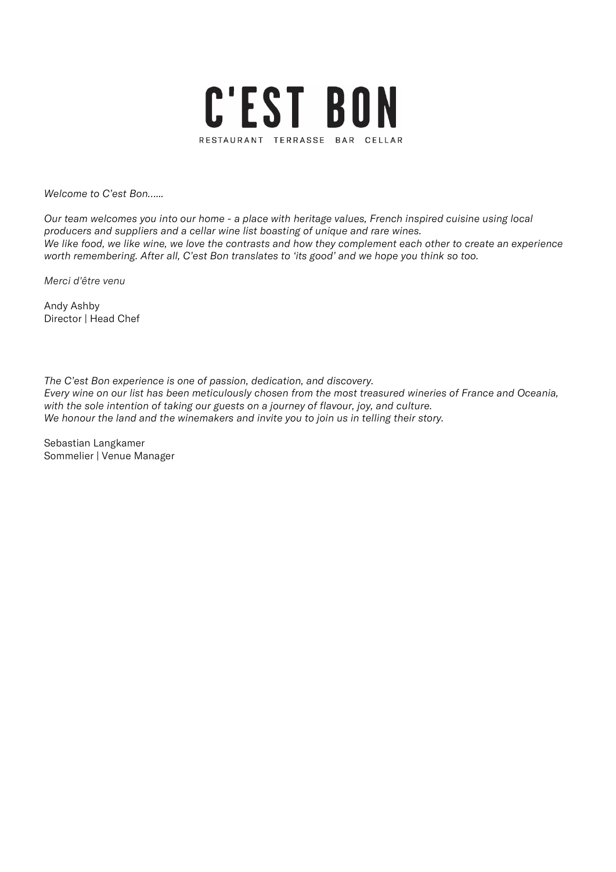

Welcome to C'est Bon…...

Our team welcomes you into our home - a place with heritage values, French inspired cuisine using local producers and suppliers and a cellar wine list boasting of unique and rare wines. We like food, we like wine, we love the contrasts and how they complement each other to create an experience worth remembering. After all, C'est Bon translates to 'its good' and we hope you think so too.

Merci d'être venu

Andy Ashby Director | Head Chef

The C'est Bon experience is one of passion, dedication, and discovery. Every wine on our list has been meticulously chosen from the most treasured wineries of France and Oceania, with the sole intention of taking our guests on a journey of flavour, joy, and culture. We honour the land and the winemakers and invite you to join us in telling their story.

Sebastian Langkamer Sommelier | Venue Manager